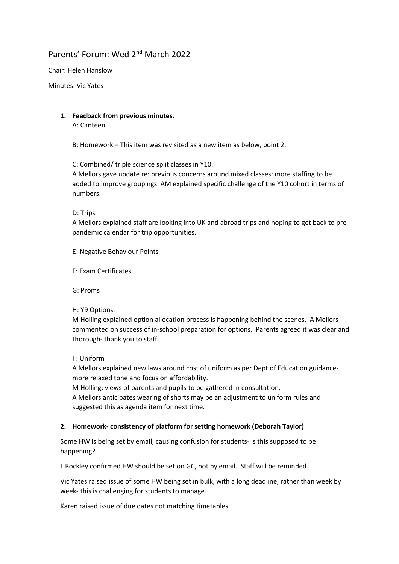# Parents' Forum: Wed 2nd March 2022

Chair: Helen Hanslow

Minutes: Vic Yates

# **1. Feedback from previous minutes.**

A: Canteen.

B: Homework – This item was revisited as a new item as below, point 2.

C: Combined/ triple science split classes in Y10.

A Mellors gave update re: previous concerns around mixed classes: more staffing to be added to improve groupings. AM explained specific challenge of the Y10 cohort in terms of numbers.

D: Trips

A Mellors explained staff are looking into UK and abroad trips and hoping to get back to prepandemic calendar for trip opportunities.

E: Negative Behaviour Points

F: Exam Certificates

G: Proms

H: Y9 Options.

M Holling explained option allocation process is happening behind the scenes. A Mellors commented on success of in-school preparation for options. Parents agreed it was clear and thorough- thank you to staff.

I : Uniform

A Mellors explained new laws around cost of uniform as per Dept of Education guidancemore relaxed tone and focus on affordability.

M Holling: views of parents and pupils to be gathered in consultation.

A Mellors anticipates wearing of shorts may be an adjustment to uniform rules and suggested this as agenda item for next time.

## **2. Homework- consistency of platform for setting homework (Deborah Taylor)**

Some HW is being set by email, causing confusion for students- is this supposed to be happening?

L Rockley confirmed HW should be set on GC, not by email. Staff will be reminded.

Vic Yates raised issue of some HW being set in bulk, with a long deadline, rather than week by week- this is challenging for students to manage.

Karen raised issue of due dates not matching timetables.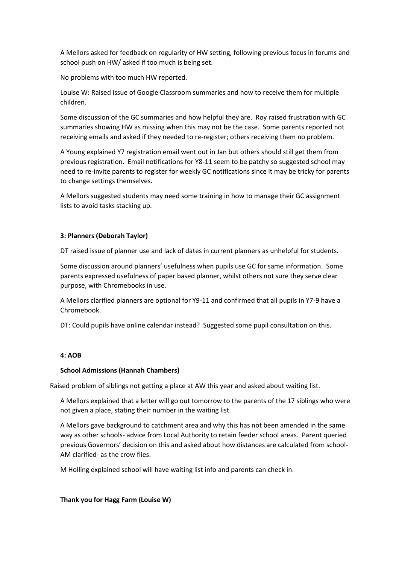A Mellors asked for feedback on regularity of HW setting, following previous focus in forums and school push on HW/ asked if too much is being set.

No problems with too much HW reported.

Louise W: Raised issue of Google Classroom summaries and how to receive them for multiple children.

Some discussion of the GC summaries and how helpful they are. Roy raised frustration with GC summaries showing HW as missing when this may not be the case. Some parents reported not receiving emails and asked if they needed to re-register; others receiving them no problem.

A Young explained Y7 registration email went out in Jan but others should still get them from previous registration. Email notifications for Y8-11 seem to be patchy so suggested school may need to re-invite parents to register for weekly GC notifications since it may be tricky for parents to change settings themselves.

A Mellors suggested students may need some training in how to manage their GC assignment lists to avoid tasks stacking up.

## **3: Planners (Deborah Taylor)**

DT raised issue of planner use and lack of dates in current planners as unhelpful for students.

Some discussion around planners' usefulness when pupils use GC for same information. Some parents expressed usefulness of paper based planner, whilst others not sure they serve clear purpose, with Chromebooks in use.

A Mellors clarified planners are optional for Y9-11 and confirmed that all pupils in Y7-9 have a Chromebook.

DT: Could pupils have online calendar instead? Suggested some pupil consultation on this.

#### **4: AOB**

#### **School Admissions (Hannah Chambers)**

Raised problem of siblings not getting a place at AW this year and asked about waiting list.

A Mellors explained that a letter will go out tomorrow to the parents of the 17 siblings who were not given a place, stating their number in the waiting list.

A Mellors gave background to catchment area and why this has not been amended in the same way as other schools- advice from Local Authority to retain feeder school areas. Parent queried previous Governors' decision on this and asked about how distances are calculated from school-AM clarified- as the crow flies.

M Holling explained school will have waiting list info and parents can check in.

**Thank you for Hagg Farm (Louise W)**